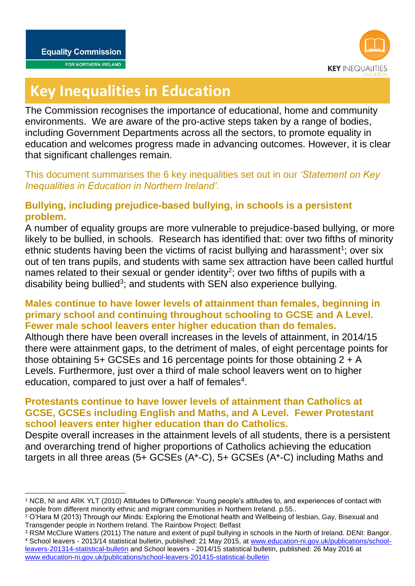FOR NORTHERN IRELAND



# **Key Inequalities in Education**

The Commission recognises the importance of educational, home and community environments. We are aware of the pro-active steps taken by a range of bodies, including Government Departments across all the sectors, to promote equality in education and welcomes progress made in advancing outcomes. However, it is clear that significant challenges remain.

### This document summarises the 6 key inequalities set out in our *'Statement on Key Inequalities in Education in Northern Ireland'*.

## **Bullying, including prejudice-based bullying, in schools is a persistent problem.**

A number of equality groups are more vulnerable to prejudice-based bullying, or more likely to be bullied, in schools. Research has identified that: over two fifths of minority ethnic students having been the victims of racist bullying and harassment<sup>1</sup>; over six out of ten trans pupils, and students with same sex attraction have been called hurtful names related to their sexual or gender identity<sup>2</sup>; over two fifths of pupils with a disability being bullied<sup>3</sup>; and students with SEN also experience bullying.

#### **Males continue to have lower levels of attainment than females, beginning in primary school and continuing throughout schooling to GCSE and A Level. Fewer male school leavers enter higher education than do females.**

Although there have been overall increases in the levels of attainment, in 2014/15 there were attainment gaps, to the detriment of males, of eight percentage points for those obtaining  $5+$  GCSEs and 16 percentage points for those obtaining  $2+A$ Levels. Furthermore, just over a third of male school leavers went on to higher education, compared to just over a half of females<sup>4</sup>.

#### **Protestants continue to have lower levels of attainment than Catholics at GCSE, GCSEs including English and Maths, and A Level. Fewer Protestant school leavers enter higher education than do Catholics.**

Despite overall increases in the attainment levels of all students, there is a persistent and overarching trend of higher proportions of Catholics achieving the education targets in all three areas (5+ GCSEs (A\*-C), 5+ GCSEs (A\*-C) including Maths and

<sup>1</sup> <sup>1</sup> NCB, NI and ARK YLT (2010) Attitudes to Difference: Young people's attitudes to, and experiences of contact with people from different minority ethnic and migrant communities in Northern Ireland. p.55..

<sup>&</sup>lt;sup>2</sup> O'Hara M (2013) Through our Minds: Exploring the Emotional health and Wellbeing of lesbian, Gay, Bisexual and Transgender people in Northern Ireland. The Rainbow Project: Belfast

<sup>&</sup>lt;sup>3</sup> RSM McClure Watters (2011) The nature and extent of pupil bullying in schools in the North of Ireland. DENI: Bangor. <sup>4</sup> School leavers - 2013/14 statistical bulletin, published: 21 May 2015, at [www.education-ni.gov.uk/publications/school](http://www.education-ni.gov.uk/publications/school-leavers-201314-statistical-bulletin)[leavers-201314-statistical-bulletin](http://www.education-ni.gov.uk/publications/school-leavers-201314-statistical-bulletin) and School leavers - 2014/15 statistical bulletin, published: 26 May 2016 at [www.education-ni.gov.uk/publications/school-leavers-201415-statistical-bulletin](http://www.education-ni.gov.uk/publications/school-leavers-201415-statistical-bulletin)